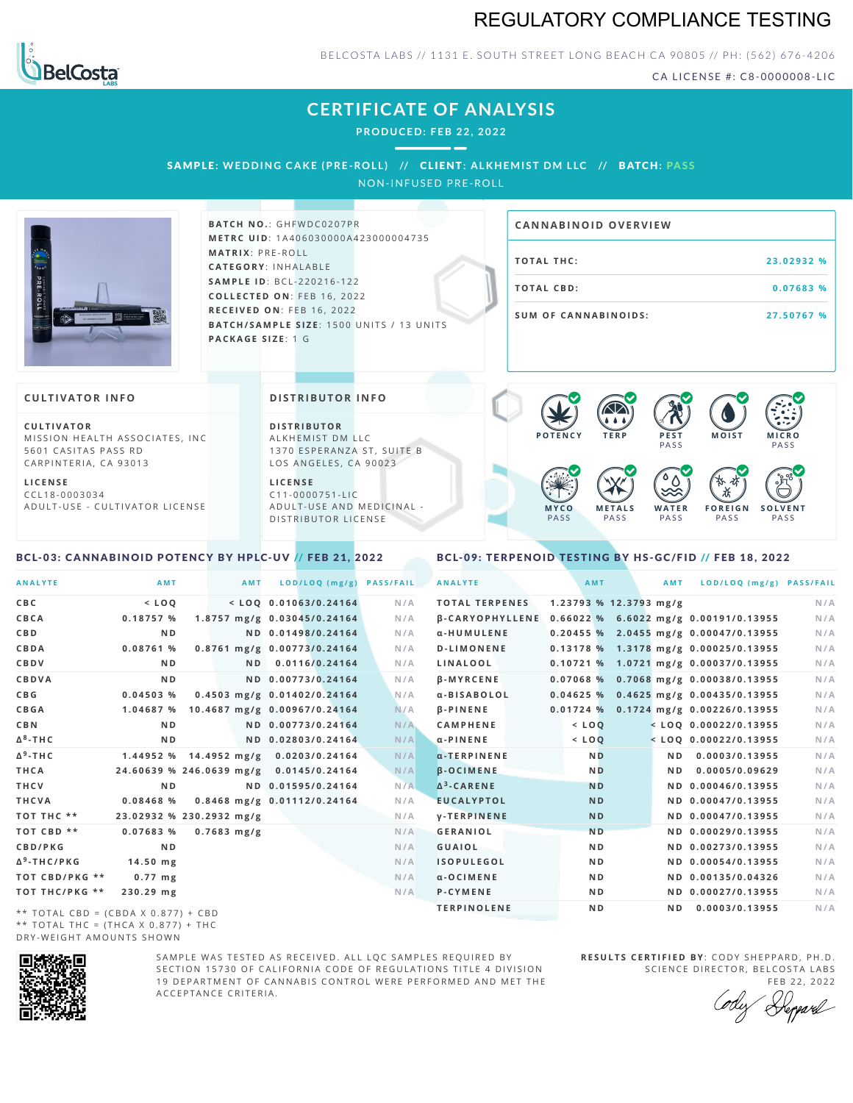# REGULATORY COMPLIANCE TESTING



BELCOSTA LABS // 1131 E. SOUTH STREET LONG BEACH CA 90805 // PH: (562) 676-4206

CA LICENSE #: C8-0000008-LIC

**M O IS T M IC R O PASS** 

**S O L V E N T** PA S S

# **CERTIFICATE OF ANALYSIS**

**PRODUCED: F EB 22, 2022**

SAMPLE: WEDDING CAKE (PRE-ROLL) // CLIENT: ALKHEMIST DM LLC // BATCH: PASS

NON-INFUSED PRE-ROLL



**BATCH NO.: GHFWDC0207PR M E T R C U ID** :1 A 4 0 6 0 3 0 0 0 0 A 4 2 3 0 0 0 0 0 4 7 3 5 **M AT R I X** :P R E - R O L L **CAT E G O R Y** : I N H A L A B L E **SA M P L E I D** :B C L - 2 2 0 2 1 6 - 1 2 2 **C O L L E C T E D O N** :F E B 1 6 , 2 0 2 2 **R E C E I V E D O N** : F E B 1 6 , 2 0 2 2 **BATCH/SAMPLE SIZE: 1500 UNITS / 13 UNITS PAC KA G E S I Z E** : 1 G

# **T O TAL T H C :2 3 . 0 2 9 3 2 % T O TAL CB D :0 . 0 7 6 8 3 % S U M O F CA N N ABI N O I D S : 2 7 . 5 0 7 6 7 % CA N N ABI N OID OVERVI EW**

PA S S

 $\bullet$  60 60 60 60

 $\bullet$  0.0 0.0 0.0

**W A T E R** PA S S

**F O R E I G N** PA S S

祇

#### **CULTIVATOR I N FO**

**C U L T I VAT O R** MISSION HEALTH ASSOCIATES, INC. 5601 CASITAS PASS RD CARPINTERIA, CA 93013

**L I C E N S E** C C L 1 8 - 0 0 0 3 0 3 4 A D U L T - U S E - C U L T I V A T O R L I C E N S E

#### **DI STRIBUTOR I N FO**

**D I S T R IB U T O R** ALKHEMIST DM LLC 1370 ESPERANZA ST, SUITE B LOS ANGELES, CA 90023

**L I C E N S E** C 1 1 - 0 0 0 0 7 5 1 - L I C A D U L T - U S E A N D M E D I C I N A L -D ISTRIBUTOR LICENSE

## <span id="page-0-0"></span>BCL-03: CANNABINOID POTENCY BY HPLC-UV // FEB 21, 2022

#### <span id="page-0-1"></span>BCL-09: TERPENOID TESTING BY HS-GC/FID // FEB 18, 2022

**M E T A L S** PA S S

**M Y C O** PA S S

**P O T E N C Y T E R P P E S T**

| <b>ANALYTE</b>                      | AMT                                     | AMT                          | LOD/LOQ (mg/g)     | <b>PASS/FAIL</b> | <b>ANALYTE</b>                                        | AMT            |                          | AMT            | LOD/LOQ (mg/g) PASS/FAIL                |     |
|-------------------------------------|-----------------------------------------|------------------------------|--------------------|------------------|-------------------------------------------------------|----------------|--------------------------|----------------|-----------------------------------------|-----|
| C B C                               | $<$ LOO                                 | $<$ LOO 0.01063/0.24164      |                    | N/A              | <b>TOTAL TERPENES</b>                                 |                | $1.23793$ % 12.3793 mg/g |                |                                         | N/A |
| CBCA                                | 0.18757%                                | 1.8757 mg/g 0.03045/0.24164  |                    | N/A              | β-CARYOPHYLLENE 0.66022 % 6.6022 mg/g 0.00191/0.13955 |                |                          |                |                                         | N/A |
| C B D                               | N <sub>D</sub>                          |                              | ND 0.01498/0.24164 | N/A              | α-HUMULENE                                            |                |                          |                | $0.20455$ % 2.0455 mg/g 0.00047/0.13955 | N/A |
| CBDA                                | 0.08761 %                               | 0.8761 mg/g 0.00773/0.24164  |                    | N/A              | <b>D-LIMONENE</b>                                     |                |                          |                | 0.13178 % 1.3178 mg/g 0.00025/0.13955   | N/A |
| CBDV                                | N <sub>D</sub>                          |                              | ND 0.0116/0.24164  | N/A              | LINALOOL                                              |                |                          |                | 0.10721 % 1.0721 mg/g 0.00037/0.13955   | N/A |
| CBDVA                               | N <sub>D</sub>                          |                              | ND 0.00773/0.24164 | N/A              | <b>B-MYRCENE</b>                                      |                |                          |                | $0.07068$ % 0.7068 mg/g 0.00038/0.13955 | N/A |
| C B G                               | 0.04503%                                | 0.4503 mg/g 0.01402/0.24164  |                    | N/A              | α-BISABOLOL                                           |                |                          |                | 0.04625 % 0.4625 mg/g 0.00435/0.13955   | N/A |
| <b>CBGA</b>                         | 1.04687 %                               | 10.4687 mg/g 0.00967/0.24164 |                    | N/A              | <b>B-PINENE</b>                                       |                |                          |                | 0.01724 % 0.1724 mg/g 0.00226/0.13955   | N/A |
| C B N                               | N <sub>D</sub>                          |                              | ND 0.00773/0.24164 | N/A              | <b>CAMPHENE</b>                                       | $<$ LOQ        |                          |                | $<$ LOQ 0.00022/0.13955                 | N/A |
| Δ <sup>8</sup> -ΤΗC                 | N <sub>D</sub>                          |                              | ND 0.02803/0.24164 | N/A              | $\alpha$ -PINENE                                      | $<$ LOQ        |                          |                | $<$ LOQ 0.00022/0.13955                 | N/A |
| Δ <sup>9</sup> -ΤΗ C                | 1.44952 % 14.4952 mg/g                  |                              | 0.0203/0.24164     | N/A              | $\alpha$ -TERPINENE                                   | <b>ND</b>      |                          | ND.            | 0.0003/0.13955                          | N/A |
| THCA                                | 24.60639 % 246.0639 mg/g 0.0145/0.24164 |                              |                    | N/A              | <b>B-OCIMENE</b>                                      | <b>ND</b>      |                          | N <sub>D</sub> | 0.0005/0.09629                          | N/A |
| THCV                                | N <sub>D</sub>                          |                              | ND 0.01595/0.24164 | N/A              | $\Delta^3$ -CARENE                                    | <b>ND</b>      |                          |                | ND 0.00046/0.13955                      | N/A |
| THCVA                               | 0.08468%                                | 0.8468 mg/g 0.01112/0.24164  |                    | N/A              | <b>EUCALYPTOL</b>                                     | <b>ND</b>      |                          |                | ND 0.00047/0.13955                      | N/A |
| тот тнс **                          | 23.02932 % 230.2932 mg/g                |                              |                    | N/A              | <b>V-TERPINENE</b>                                    | <b>ND</b>      |                          |                | ND 0.00047/0.13955                      | N/A |
| TOT CBD **                          | 0.07683 %                               | $0.7683$ mg/g                |                    | N/A              | <b>GERANIOL</b>                                       | <b>ND</b>      |                          |                | ND 0.00029/0.13955                      | N/A |
| CBD/PKG                             | N <sub>D</sub>                          |                              |                    | N/A              | <b>GUAIOL</b>                                         | N <sub>D</sub> |                          |                | ND 0.00273/0.13955                      | N/A |
| Δ <sup>9</sup> -THC/PKG             | $14.50$ mg                              |                              |                    | N/A              | <b>ISOPULEGOL</b>                                     | N <sub>D</sub> |                          |                | ND 0.00054/0.13955                      | N/A |
| ТОТ СВD/РКG **                      | $0.77$ mg                               |                              |                    | N/A              | $\alpha$ -OCIMENE                                     | N <sub>D</sub> |                          |                | ND 0.00135/0.04326                      | N/A |
| ТОТ ТНС/РКG **                      | 230.29 mg                               |                              |                    | N/A              | <b>P-CYMENE</b>                                       | N <sub>D</sub> |                          |                | ND 0.00027/0.13955                      | N/A |
| ** TOTAL CRD - (CRDA V 0 977) + CRD |                                         |                              |                    |                  | <b>TERPINOLENE</b>                                    | N <sub>D</sub> |                          | N D            | 0.0003/0.13955                          | N/A |

\*\* TOTAL CBD =  $(CBDA X 0.877) + CBD$ \*\* TOTAL THC =  $(THCA X 0.877) + THC$ DRY-WEIGHT AMOUNTS SHOWN



SAMPLE WAS TESTED AS RECEIVED. ALL LOC SAMPLES REQUIRED BY SECTION 15730 OF CALIFORNIA CODE OF REGULATIONS TITLE 4 DIVISION 19 DEPARTMENT OF CANNABIS CONTROL WERE PERFORMED AND MET THE A C C E P T A N C E C R I T E R I A .

**R E S U L T S C E R T I F I E D BY** : C O D Y S H E P P A R D ,P H .D . SCIENCE DIRECTOR, BELCOSTA LABS

FEB 22, 2022 Deppard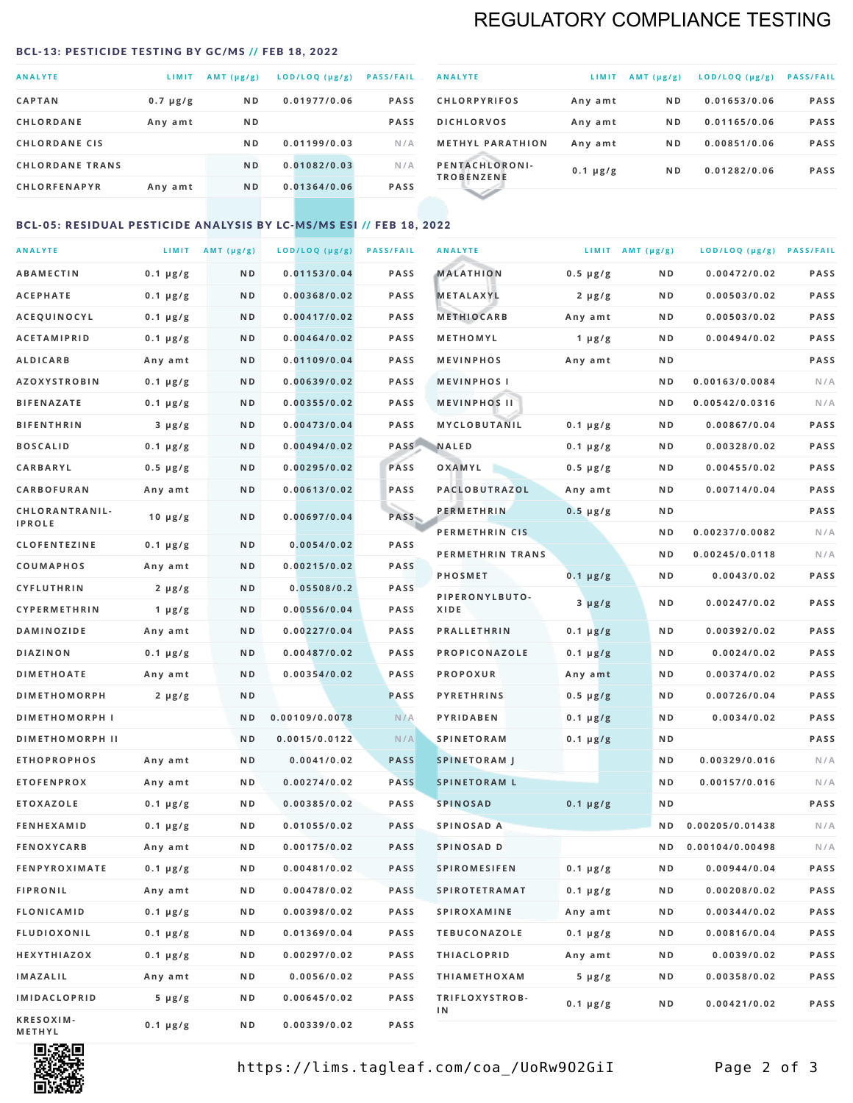# REGULATORY COMPLIANCE TESTING

#### <span id="page-1-0"></span>BCL-13: PESTICIDE TESTING BY GC/MS // FEB 18, 2022

| <b>ANALYTE</b>         | LIMIT         | $AMT$ ( $\mu g/g$ ) | $LOD/LOQ$ ( $\mu g/g$ ) | <b>PASS/FAIL</b> |
|------------------------|---------------|---------------------|-------------------------|------------------|
| <b>CAPTAN</b>          | $0.7 \mu g/g$ | N <sub>D</sub>      | 0.01977/0.06            | <b>PASS</b>      |
| <b>CHLORDANE</b>       | Any amt       | N <sub>D</sub>      |                         | <b>PASS</b>      |
| <b>CHLORDANE CIS</b>   |               | N <sub>D</sub>      | 0.01199/0.03            | N/A              |
| <b>CHLORDANE TRANS</b> |               | N <sub>D</sub>      | 0.01082/0.03            | N/A              |
| <b>CHLORFENAPYR</b>    | Any amt       | N <sub>D</sub>      | 0.01364/0.06            | <b>PASS</b>      |

| <b>ANALYTE</b>                      | LIMIT         | $AMT (\mu g/g)$ | LOD/LOQ (µg/g) | <b>PASS/FAIL</b> |
|-------------------------------------|---------------|-----------------|----------------|------------------|
| <b>CHLORPYRIFOS</b>                 | Any amt       | N <sub>D</sub>  | 0.01653/0.06   | <b>PASS</b>      |
| <b>DICHLORVOS</b>                   | Any amt       | N <sub>D</sub>  | 0.01165/0.06   | <b>PASS</b>      |
| <b>METHYL PARATHION</b>             | Any amt       | N <sub>D</sub>  | 0.00851/0.06   | <b>PASS</b>      |
| PENTACHLORONI-<br><b>TROBENZENE</b> | $0.1 \mu g/g$ | N <sub>D</sub>  | 0.01282/0.06   | <b>PASS</b>      |
|                                     |               |                 |                |                  |

## BCL-05: RESIDUAL PESTICIDE ANALYSIS BY LC-MS/MS ESI // FEB 18, 2022

| <b>ANALYTE</b>             |               | LIMIT $AMT (\mu g/g)$ | LOD/LOQ (µg/g) | <b>PASS/FAIL</b> | <b>ANALYTE</b>       |                  | LIMIT AMT $(\mu g/g)$ | LOD/LOQ (µg/g) PASS/FAIL |             |
|----------------------------|---------------|-----------------------|----------------|------------------|----------------------|------------------|-----------------------|--------------------------|-------------|
| <b>ABAMECTIN</b>           | $0.1 \mu g/g$ | N D                   | 0.01153/0.04   | <b>PASS</b>      | <b>MALATHION</b>     | $0.5 \mu g/g$    | N D                   | 0.00472/0.02             | <b>PASS</b> |
| <b>ACEPHATE</b>            | $0.1 \mu g/g$ | N D                   | 0.00368/0.02   | <b>PASS</b>      | <b>METALAXYL</b>     | $2 \mu g/g$      | N D                   | 0.00503/0.02             | PASS        |
| ACEQUINOCYL                | $0.1 \mu g/g$ | N D                   | 0.00417/0.02   | <b>PASS</b>      | <b>METHIOCARB</b>    | Any amt          | N D                   | 0.00503/0.02             | PASS        |
| <b>ACETAMIPRID</b>         | $0.1 \mu g/g$ | N D                   | 0.00464/0.02   | <b>PASS</b>      | METHOMYL             | 1 $\mu$ g/g      | N D                   | 0.00494/0.02             | PASS        |
| <b>ALDICARB</b>            | Any amt       | N D                   | 0.01109/0.04   | <b>PASS</b>      | <b>MEVINPHOS</b>     | Any amt          | N D                   |                          | PASS        |
| <b>AZOXYSTROBIN</b>        | $0.1 \mu g/g$ | N D                   | 0.00639/0.02   | <b>PASS</b>      | <b>MEVINPHOSI</b>    |                  | N D                   | 0.00163/0.0084           | N/A         |
| <b>BIFENAZATE</b>          | $0.1 \mu g/g$ | N D                   | 0.00355/0.02   | PASS             | <b>MEVINPHOS II</b>  |                  | N D                   | 0.00542/0.0316           | N/A         |
| <b>BIFENTHRIN</b>          | $3 \mu g/g$   | N D                   | 0.00473/0.04   | <b>PASS</b>      | <b>MYCLOBUTANIL</b>  | $0.1 \mu g/g$    | N D                   | 0.00867/0.04             | PASS        |
| <b>BOSCALID</b>            | $0.1 \mu g/g$ | N D                   | 0.00494/0.02   | <b>PASS</b>      | <b>NALED</b>         | $0.1 \mu g/g$    | N D                   | 0.00328/0.02             | PASS        |
| CARBARYL                   | $0.5 \mu g/g$ | N D                   | 0.00295/0.02   | PASS             | OXAMYL               | $0.5 \, \mu g/g$ | N D                   | 0.00455/0.02             | PASS        |
| CARBOFURAN                 | Any amt       | N D                   | 0.00613/0.02   | <b>PASS</b>      | PACLOBUTRAZOL        | Any amt          | N D                   | 0.00714/0.04             | PASS        |
| CHLORANTRANIL-             | $10 \mu g/g$  | N D                   | 0.00697/0.04   | PASS             | <b>PERMETHRIN</b>    | $0.5 \mu g/g$    | N D                   |                          | PASS        |
| <b>IPROLE</b>              |               |                       |                |                  | PERMETHRIN CIS       |                  | N D                   | 0.00237/0.0082           | N/A         |
| <b>CLOFENTEZINE</b>        | $0.1 \mu g/g$ | N D                   | 0.0054/0.02    | PASS             | PERMETHRIN TRANS     |                  | N D                   | 0.00245/0.0118           | N/A         |
| <b>COUMAPHOS</b>           | Any amt       | N D                   | 0.00215/0.02   | <b>PASS</b>      | <b>PHOSMET</b>       | $0.1 \, \mu g/g$ | N D                   | 0.0043/0.02              | PASS        |
| <b>CYFLUTHRIN</b>          | $2 \mu g/g$   | N D                   | 0.05508/0.2    | <b>PASS</b>      | PIPERONYLBUTO-       | $3 \mu g/g$      | N D                   | 0.00247/0.02             | PASS        |
| <b>CYPERMETHRIN</b>        | 1 $\mu$ g/g   | ND                    | 0.00556/0.04   | PASS             | XIDE                 |                  |                       |                          |             |
| <b>DAMINOZIDE</b>          | Any amt       | N D                   | 0.00227/0.04   | <b>PASS</b>      | <b>PRALLETHRIN</b>   | $0.1 \mu g/g$    | N D                   | 0.00392/0.02             | PASS        |
| DIAZINON                   | $0.1 \mu g/g$ | N D                   | 0.00487/0.02   | PASS             | PROPICONAZOLE        | $0.1 \mu g/g$    | N D                   | 0.0024/0.02              | PASS        |
| <b>DIMETHOATE</b>          | Any amt       | N D                   | 0.00354/0.02   | <b>PASS</b>      | <b>PROPOXUR</b>      | Any amt          | N D                   | 0.00374/0.02             | PASS        |
| <b>DIMETHOMORPH</b>        | $2 \mu g/g$   | ND                    |                | <b>PASS</b>      | <b>PYRETHRINS</b>    | $0.5 \mu g/g$    | N D                   | 0.00726/0.04             | PASS        |
| <b>DIMETHOMORPH I</b>      |               | N D                   | 0.00109/0.0078 | N/A              | <b>PYRIDABEN</b>     | $0.1 \mu g/g$    | N D                   | 0.0034/0.02              | PASS        |
| <b>DIMETHOMORPH II</b>     |               | ND                    | 0.0015/0.0122  | N/A              | <b>SPINETORAM</b>    | $0.1 \mu g/g$    | N D                   |                          | PASS        |
| <b>ETHOPROPHOS</b>         | Any amt       | N D                   | 0.0041/0.02    | <b>PASS</b>      | <b>SPINETORAM J</b>  |                  | N D                   | 0.00329/0.016            | N/A         |
| <b>ETOFENPROX</b>          | Any amt       | N D                   | 0.00274/0.02   | <b>PASS</b>      | <b>SPINETORAM L</b>  |                  | N D                   | 0.00157/0.016            | N/A         |
| <b>ETOXAZOLE</b>           | $0.1 \mu g/g$ | N D                   | 0.00385/0.02   | PASS             | <b>SPINOSAD</b>      | $0.1 \mu g/g$    | N D                   |                          | PASS        |
| <b>FENHEXAMID</b>          | $0.1 \mu g/g$ | ND                    | 0.01055/0.02   | <b>PASS</b>      | SPINOSAD A           |                  | N D                   | 0.00205/0.01438          | N/A         |
| <b>FENOXYCARB</b>          | Any amt       | N D                   | 0.00175/0.02   | <b>PASS</b>      | SPINOSAD D           |                  | N D                   | 0.00104/0.00498          | N/A         |
| <b>FENPYROXIMATE</b>       | $0.1 \mu g/g$ | N D                   | 0.00481/0.02   | <b>PASS</b>      | <b>SPIROMESIFEN</b>  | $0.1 \, \mu g/g$ | N D                   | 0.00944/0.04             | PASS        |
| <b>FIPRONIL</b>            | Any amt       | N D                   | 0.00478/0.02   | PASS             | <b>SPIROTETRAMAT</b> | $0.1 \mu g/g$    | N D                   | 0.00208/0.02             | PASS        |
| FLONICAMID                 | $0.1 \mu g/g$ | N D                   | 0.00398/0.02   | PASS             | <b>SPIROXAMINE</b>   | Any amt          | N D                   | 0.00344/0.02             | PASS        |
| <b>FLUDIOXONIL</b>         | $0.1 \mu g/g$ | N D                   | 0.01369/0.04   | PASS             | <b>TEBUCONAZOLE</b>  | $0.1 \mu g/g$    | N D                   | 0.00816/0.04             | PASS        |
| HEXYTHIAZOX                | $0.1 \mu g/g$ | N D                   | 0.00297/0.02   | PASS             | <b>THIACLOPRID</b>   | Any amt          | N D                   | 0.0039/0.02              | PASS        |
| <b>IMAZALIL</b>            | Any amt       | N D                   | 0.0056/0.02    | <b>PASS</b>      | <b>THIAMETHOXAM</b>  | $5 \mu g/g$      | N D                   | 0.00358/0.02             | PASS        |
| <b>IMIDACLOPRID</b>        | $5 \mu g/g$   | N D                   | 0.00645/0.02   | PASS             | TRIFLOXYSTROB-<br>ΙN | $0.1 \mu g/g$    | N D                   | 0.00421/0.02             | PASS        |
| KRESOXIM-<br><b>METHYL</b> | $0.1 \mu g/g$ | N D                   | 0.00339/0.02   | PASS             |                      |                  |                       |                          |             |